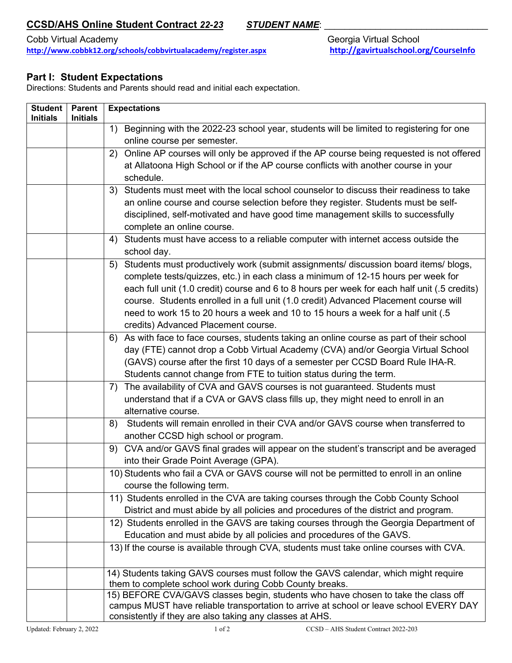## **CCSD/AHS Online Student Contract 22-23 STUDENT NAME:**

Cobb Virtual Academy **Georgia Virtual School <http://www.cobbk12.org/schools/cobbvirtualacademy/register.aspx><http://gavirtualschool.org/CourseInfo>**

## **Part I: Student Expectations**

Directions: Students and Parents should read and initial each expectation.

| <b>Student</b><br><b>Initials</b> | <b>Parent</b><br><b>Initials</b> | <b>Expectations</b>                                                                                                                |
|-----------------------------------|----------------------------------|------------------------------------------------------------------------------------------------------------------------------------|
|                                   |                                  | Beginning with the 2022-23 school year, students will be limited to registering for one<br>1)                                      |
|                                   |                                  | online course per semester.                                                                                                        |
|                                   |                                  | Online AP courses will only be approved if the AP course being requested is not offered<br>2)                                      |
|                                   |                                  | at Allatoona High School or if the AP course conflicts with another course in your                                                 |
|                                   |                                  | schedule.                                                                                                                          |
|                                   |                                  | Students must meet with the local school counselor to discuss their readiness to take<br>3)                                        |
|                                   |                                  | an online course and course selection before they register. Students must be self-                                                 |
|                                   |                                  | disciplined, self-motivated and have good time management skills to successfully                                                   |
|                                   |                                  | complete an online course.                                                                                                         |
|                                   |                                  | Students must have access to a reliable computer with internet access outside the<br>4)<br>school day.                             |
|                                   |                                  | Students must productively work (submit assignments/ discussion board items/ blogs,<br>5)                                          |
|                                   |                                  | complete tests/quizzes, etc.) in each class a minimum of 12-15 hours per week for                                                  |
|                                   |                                  | each full unit (1.0 credit) course and 6 to 8 hours per week for each half unit (.5 credits)                                       |
|                                   |                                  | course. Students enrolled in a full unit (1.0 credit) Advanced Placement course will                                               |
|                                   |                                  | need to work 15 to 20 hours a week and 10 to 15 hours a week for a half unit (.5                                                   |
|                                   |                                  | credits) Advanced Placement course.                                                                                                |
|                                   |                                  | As with face to face courses, students taking an online course as part of their school<br>6)                                       |
|                                   |                                  | day (FTE) cannot drop a Cobb Virtual Academy (CVA) and/or Georgia Virtual School                                                   |
|                                   |                                  | (GAVS) course after the first 10 days of a semester per CCSD Board Rule IHA-R.                                                     |
|                                   |                                  | Students cannot change from FTE to tuition status during the term.                                                                 |
|                                   |                                  | The availability of CVA and GAVS courses is not guaranteed. Students must<br>7)                                                    |
|                                   |                                  | understand that if a CVA or GAVS class fills up, they might need to enroll in an                                                   |
|                                   |                                  | alternative course.                                                                                                                |
|                                   |                                  | Students will remain enrolled in their CVA and/or GAVS course when transferred to<br>8)                                            |
|                                   |                                  | another CCSD high school or program.<br>CVA and/or GAVS final grades will appear on the student's transcript and be averaged<br>9) |
|                                   |                                  | into their Grade Point Average (GPA).                                                                                              |
|                                   |                                  | 10) Students who fail a CVA or GAVS course will not be permitted to enroll in an online                                            |
|                                   |                                  | course the following term.                                                                                                         |
|                                   |                                  | 11) Students enrolled in the CVA are taking courses through the Cobb County School                                                 |
|                                   |                                  | District and must abide by all policies and procedures of the district and program.                                                |
|                                   |                                  | 12) Students enrolled in the GAVS are taking courses through the Georgia Department of                                             |
|                                   |                                  | Education and must abide by all policies and procedures of the GAVS.                                                               |
|                                   |                                  | 13) If the course is available through CVA, students must take online courses with CVA.                                            |
|                                   |                                  | 14) Students taking GAVS courses must follow the GAVS calendar, which might require                                                |
|                                   |                                  | them to complete school work during Cobb County breaks.                                                                            |
|                                   |                                  | 15) BEFORE CVA/GAVS classes begin, students who have chosen to take the class off                                                  |
|                                   |                                  | campus MUST have reliable transportation to arrive at school or leave school EVERY DAY                                             |
|                                   |                                  | consistently if they are also taking any classes at AHS.                                                                           |